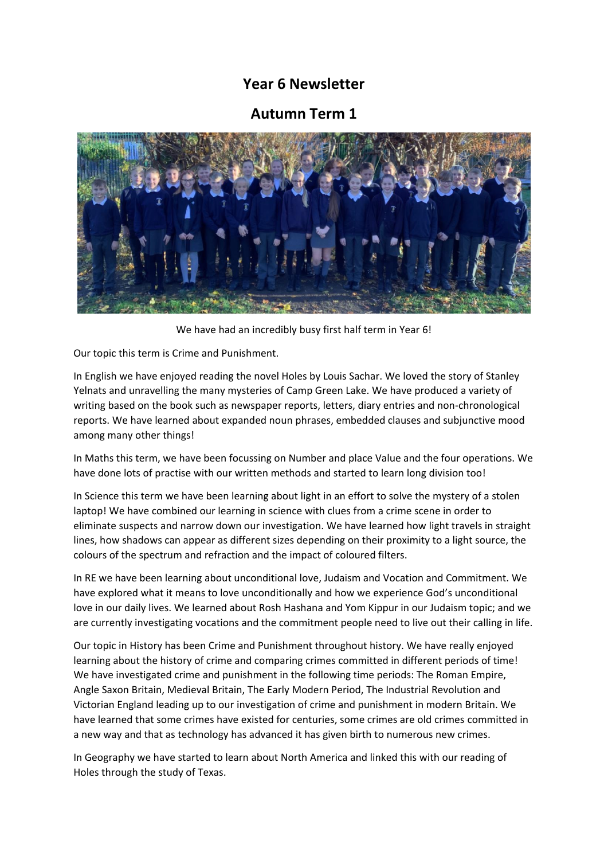## **Year 6 Newsletter**

## **Autumn Term 1**



We have had an incredibly busy first half term in Year 6!

Our topic this term is Crime and Punishment.

In English we have enjoyed reading the novel Holes by Louis Sachar. We loved the story of Stanley Yelnats and unravelling the many mysteries of Camp Green Lake. We have produced a variety of writing based on the book such as newspaper reports, letters, diary entries and non-chronological reports. We have learned about expanded noun phrases, embedded clauses and subjunctive mood among many other things!

In Maths this term, we have been focussing on Number and place Value and the four operations. We have done lots of practise with our written methods and started to learn long division too!

In Science this term we have been learning about light in an effort to solve the mystery of a stolen laptop! We have combined our learning in science with clues from a crime scene in order to eliminate suspects and narrow down our investigation. We have learned how light travels in straight lines, how shadows can appear as different sizes depending on their proximity to a light source, the colours of the spectrum and refraction and the impact of coloured filters.

In RE we have been learning about unconditional love, Judaism and Vocation and Commitment. We have explored what it means to love unconditionally and how we experience God's unconditional love in our daily lives. We learned about Rosh Hashana and Yom Kippur in our Judaism topic; and we are currently investigating vocations and the commitment people need to live out their calling in life.

Our topic in History has been Crime and Punishment throughout history. We have really enjoyed learning about the history of crime and comparing crimes committed in different periods of time! We have investigated crime and punishment in the following time periods: The Roman Empire, Angle Saxon Britain, Medieval Britain, The Early Modern Period, The Industrial Revolution and Victorian England leading up to our investigation of crime and punishment in modern Britain. We have learned that some crimes have existed for centuries, some crimes are old crimes committed in a new way and that as technology has advanced it has given birth to numerous new crimes.

In Geography we have started to learn about North America and linked this with our reading of Holes through the study of Texas.